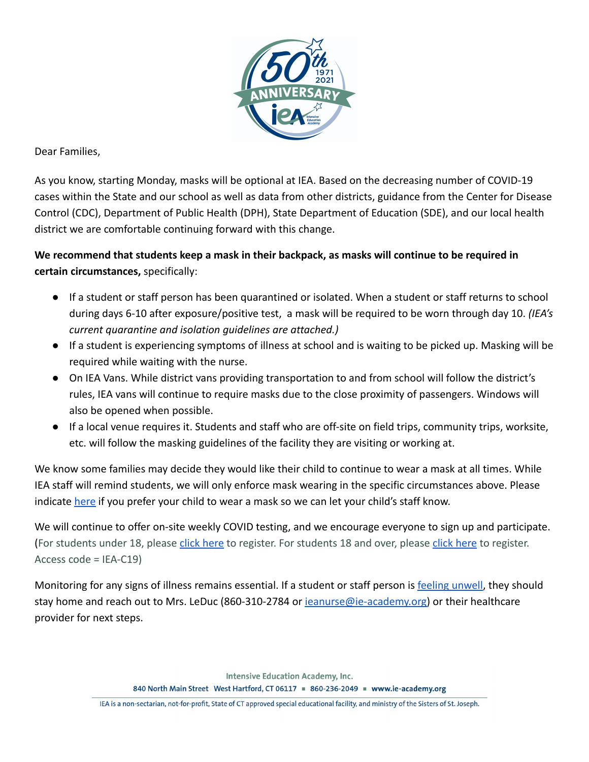

Dear Families,

As you know, starting Monday, masks will be optional at IEA. Based on the decreasing number of COVID-19 cases within the State and our school as well as data from other districts, guidance from the Center for Disease Control (CDC), Department of Public Health (DPH), State Department of Education (SDE), and our local health district we are comfortable continuing forward with this change.

**We recommend that students keep a mask in their backpack, as masks will continue to be required in certain circumstances,** specifically:

- If a student or staff person has been quarantined or isolated. When a student or staff returns to school during days 6-10 after exposure/positive test, a mask will be required to be worn through day 10. *(IEA's current quarantine and isolation guidelines are attached.)*
- If a student is experiencing symptoms of illness at school and is waiting to be picked up. Masking will be required while waiting with the nurse.
- On IEA Vans. While district vans providing transportation to and from school will follow the district's rules, IEA vans will continue to require masks due to the close proximity of passengers. Windows will also be opened when possible.
- If a local venue requires it. Students and staff who are off-site on field trips, community trips, worksite, etc. will follow the masking guidelines of the facility they are visiting or working at.

We know some families may decide they would like their child to continue to wear a mask at all times. While IEA staff will remind students, we will only enforce mask wearing in the specific circumstances above. Please indicate [here](https://docs.google.com/forms/d/e/1FAIpQLSfFa_0LPbPnDgHHGhQAFj4JTL_pIqQSicbzfrjogcrVrzPp_w/viewform?usp=sf_link) if you prefer your child to wear a mask so we can let your child's staff know.

We will continue to offer on-site weekly COVID testing, and we encourage everyone to sign up and participate. (For students under 18, please [click here](https://testcenter.concentricbyginkgo.com/invite-by-code) to register. For students 18 and over, please click here to register. Access code = IEA-C19)

Monitoring for any signs of illness remains essential. If a student or staff person is [feeling unwell](https://docs.google.com/document/d/1mC3coOA4eQ5tI6UGBir2sC6Sj9VEcMFl1ONMGgwZFFI/edit?usp=sharing), they should stay home and reach out to Mrs. LeDuc (860-310-2784 or ieanurse@ie-academy.org) or their healthcare provider for next steps.